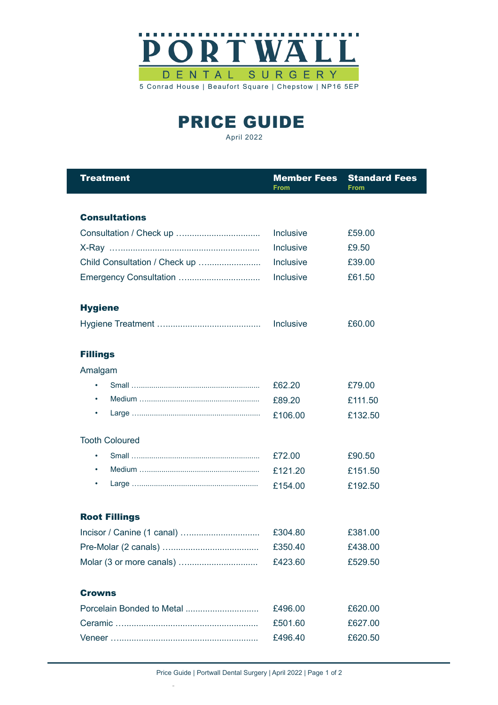

PRICE GUIDE April 2022

| <b>Treatment</b>              | <b>Member Fees</b><br>From | <b>Standard Fees</b><br><b>From</b> |
|-------------------------------|----------------------------|-------------------------------------|
|                               |                            |                                     |
| <b>Consultations</b>          |                            |                                     |
|                               | <b>Inclusive</b>           | £59.00                              |
|                               | Inclusive                  | £9.50                               |
| Child Consultation / Check up | <b>Inclusive</b>           | £39.00                              |
|                               | Inclusive                  | £61.50                              |
| <b>Hygiene</b>                |                            |                                     |
|                               | Inclusive                  | £60.00                              |
| <b>Fillings</b>               |                            |                                     |
| Amalgam                       |                            |                                     |
| $\bullet$                     | £62.20                     | £79.00                              |
| ٠                             | £89.20                     | £111.50                             |
| ٠                             | £106.00                    | £132.50                             |
| <b>Tooth Coloured</b>         |                            |                                     |
| ٠                             | £72.00                     | £90.50                              |
| $\bullet$                     | £121.20                    | £151.50                             |
| ٠                             | £154.00                    | £192.50                             |
| <b>Root Fillings</b>          |                            |                                     |
|                               | £304.80                    | £381.00                             |
|                               | £350.40                    | £438.00                             |
|                               | £423.60                    | £529.50                             |
| <b>Crowns</b>                 |                            |                                     |
|                               | £496.00                    | £620.00                             |
|                               | £501.60                    | £627.00                             |
|                               | £496.40                    | £620.50                             |